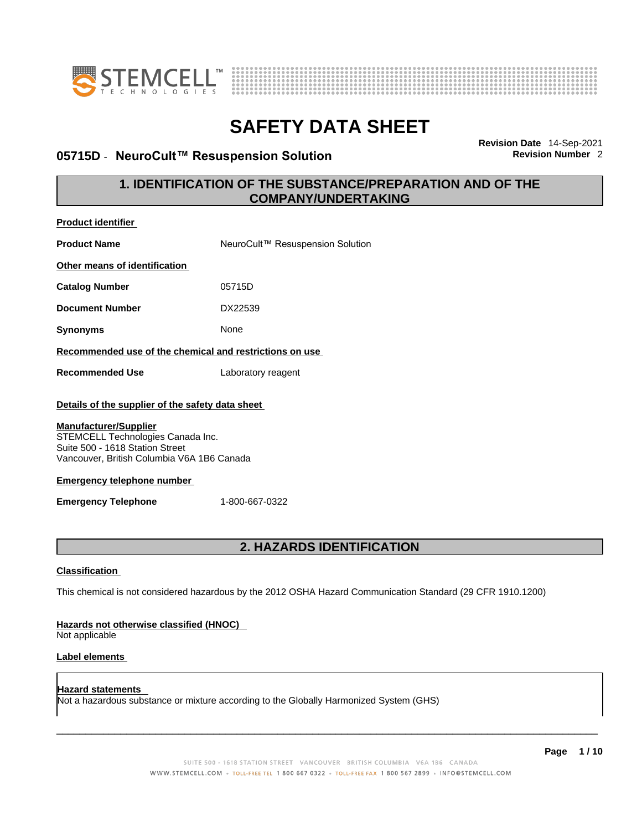



### **05715D ⋅ NeuroCult™ Resuspension Solution**

**Revision Date** 14-Sep-2021

### **1. IDENTIFICATION OF THE SUBSTANCE/PREPARATION AND OF THE COMPANY/UNDERTAKING**

| <b>Product identifier</b>                                                                                                                                                                                                                                                 |                                                                                                             |
|---------------------------------------------------------------------------------------------------------------------------------------------------------------------------------------------------------------------------------------------------------------------------|-------------------------------------------------------------------------------------------------------------|
| <b>Product Name</b>                                                                                                                                                                                                                                                       | NeuroCult™ Resuspension Solution                                                                            |
| Other means of identification                                                                                                                                                                                                                                             |                                                                                                             |
| <b>Catalog Number</b>                                                                                                                                                                                                                                                     | 05715D                                                                                                      |
| <b>Document Number</b>                                                                                                                                                                                                                                                    | DX22539                                                                                                     |
| <b>Synonyms</b>                                                                                                                                                                                                                                                           | None                                                                                                        |
| Recommended use of the chemical and restrictions on use                                                                                                                                                                                                                   |                                                                                                             |
| <b>Recommended Use</b>                                                                                                                                                                                                                                                    | Laboratory reagent                                                                                          |
| Details of the supplier of the safety data sheet<br><b>Manufacturer/Supplier</b><br>STEMCELL Technologies Canada Inc.<br>Suite 500 - 1618 Station Street<br>Vancouver, British Columbia V6A 1B6 Canada<br><b>Emergency telephone number</b><br><b>Emergency Telephone</b> | 1-800-667-0322                                                                                              |
|                                                                                                                                                                                                                                                                           | <b>2. HAZARDS IDENTIFICATION</b>                                                                            |
| <b>Classification</b>                                                                                                                                                                                                                                                     |                                                                                                             |
|                                                                                                                                                                                                                                                                           | This chemical is not considered hazardous by the 2012 OSHA Hazard Communication Standard (29 CFR 1910.1200) |
| Hazards not otherwise classified (HNOC)<br>Not applicable                                                                                                                                                                                                                 |                                                                                                             |
| Label elements                                                                                                                                                                                                                                                            |                                                                                                             |

**Hazard statements**  Not a hazardous substance or mixture according to the Globally Harmonized System (GHS)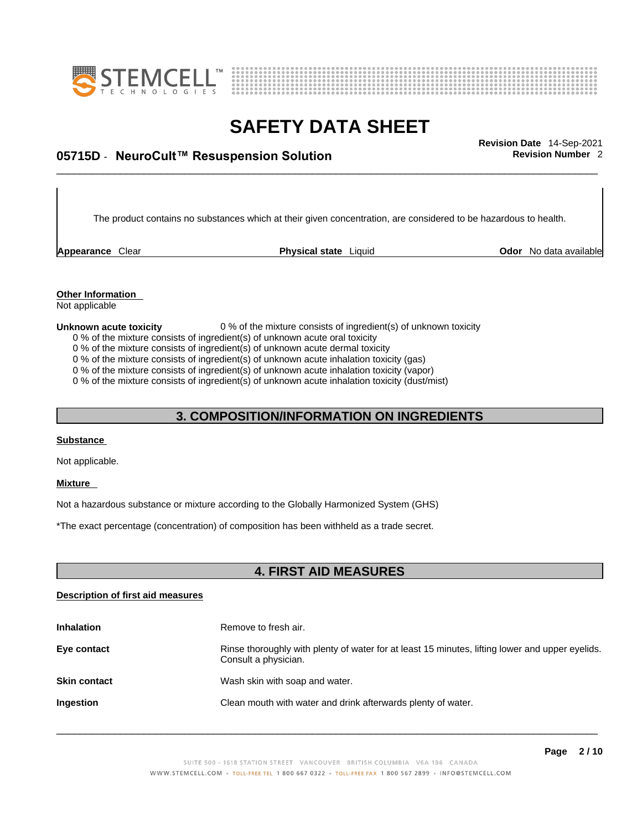



# \_\_\_\_\_\_\_\_\_\_\_\_\_\_\_\_\_\_\_\_\_\_\_\_\_\_\_\_\_\_\_\_\_\_\_\_\_\_\_\_\_\_\_\_\_\_\_\_\_\_\_\_\_\_\_\_\_\_\_\_\_\_\_\_\_\_\_\_\_\_\_\_\_\_\_\_\_\_\_\_\_\_\_\_\_\_\_\_\_\_\_\_\_ **Revision Date** 14-Sep-2021 **05715D** - **NeuroCult™ Resuspension Solution Revision Number** 2

The product contains no substances which at their given concentration, are considered to be hazardous to health.

**Appearance** Clear **Physical state** Liquid

**Odor** No data available

**Other Information**  Not applicable

#### **Unknown acute toxicity** 0 % of the mixture consists of ingredient(s) of unknown toxicity

0 % of the mixture consists of ingredient(s) of unknown acute oral toxicity

0 % of the mixture consists of ingredient(s) of unknown acute dermal toxicity

0 % of the mixture consists of ingredient(s) of unknown acute inhalation toxicity (gas)

0 % of the mixture consists of ingredient(s) of unknown acute inhalation toxicity (vapor)

0 % of the mixture consists of ingredient(s) of unknown acute inhalation toxicity (dust/mist)

### **3. COMPOSITION/INFORMATION ON INGREDIENTS**

#### **Substance**

Not applicable.

#### **Mixture**

Not a hazardous substance or mixture according to the Globally Harmonized System (GHS)

\*The exact percentage (concentration) of composition has been withheld as a trade secret.

### **4. FIRST AID MEASURES**

#### **Description of first aid measures**

| <b>Inhalation</b>   | Remove to fresh air.                                                                                                    |
|---------------------|-------------------------------------------------------------------------------------------------------------------------|
| Eye contact         | Rinse thoroughly with plenty of water for at least 15 minutes, lifting lower and upper eyelids.<br>Consult a physician. |
| <b>Skin contact</b> | Wash skin with soap and water.                                                                                          |
| Ingestion           | Clean mouth with water and drink afterwards plenty of water.                                                            |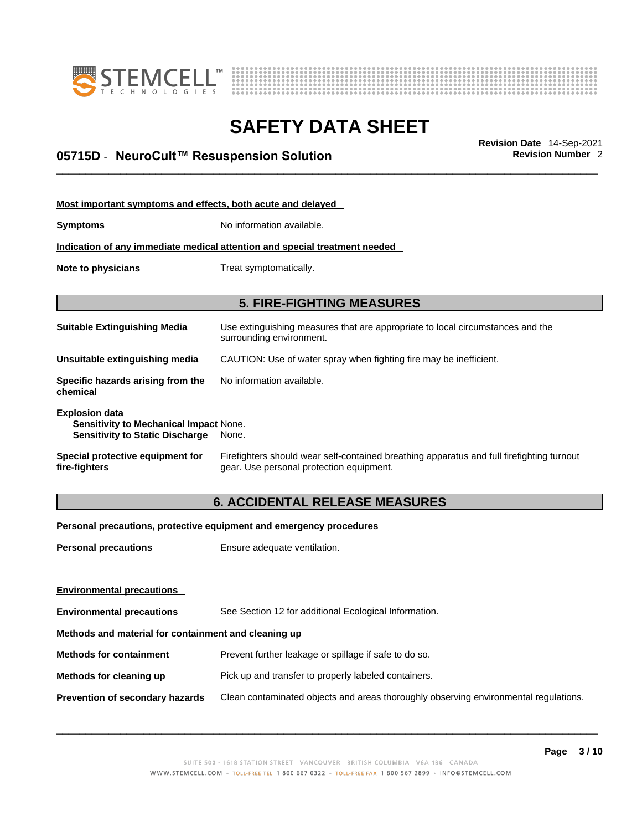



# \_\_\_\_\_\_\_\_\_\_\_\_\_\_\_\_\_\_\_\_\_\_\_\_\_\_\_\_\_\_\_\_\_\_\_\_\_\_\_\_\_\_\_\_\_\_\_\_\_\_\_\_\_\_\_\_\_\_\_\_\_\_\_\_\_\_\_\_\_\_\_\_\_\_\_\_\_\_\_\_\_\_\_\_\_\_\_\_\_\_\_\_\_ **Revision Date** 14-Sep-2021 **05715D** - **NeuroCult™ Resuspension Solution Revision Number** 2

| Most important symptoms and effects, both acute and delayed                                                      |                                                                                                                                       |  |  |  |
|------------------------------------------------------------------------------------------------------------------|---------------------------------------------------------------------------------------------------------------------------------------|--|--|--|
| Symptoms                                                                                                         | No information available.                                                                                                             |  |  |  |
|                                                                                                                  | Indication of any immediate medical attention and special treatment needed                                                            |  |  |  |
| Note to physicians<br>Treat symptomatically.                                                                     |                                                                                                                                       |  |  |  |
|                                                                                                                  |                                                                                                                                       |  |  |  |
|                                                                                                                  | <b>5. FIRE-FIGHTING MEASURES</b>                                                                                                      |  |  |  |
| Suitable Extinguishing Media                                                                                     | Use extinguishing measures that are appropriate to local circumstances and the<br>surrounding environment.                            |  |  |  |
| Unsuitable extinguishing media                                                                                   | CAUTION: Use of water spray when fighting fire may be inefficient.                                                                    |  |  |  |
| Specific hazards arising from the<br>chemical                                                                    | No information available.                                                                                                             |  |  |  |
| <b>Explosion data</b><br><b>Sensitivity to Mechanical Impact None.</b><br><b>Sensitivity to Static Discharge</b> | None.                                                                                                                                 |  |  |  |
| Special protective equipment for<br>fire-fighters                                                                | Firefighters should wear self-contained breathing apparatus and full firefighting turnout<br>gear. Use personal protection equipment. |  |  |  |

### **6. ACCIDENTAL RELEASE MEASURES**

#### **Personal precautions, protective equipment and emergency procedures**

| <b>Personal precautions</b>                          | Ensure adequate ventilation.                                                         |
|------------------------------------------------------|--------------------------------------------------------------------------------------|
| <b>Environmental precautions</b>                     |                                                                                      |
| <b>Environmental precautions</b>                     | See Section 12 for additional Ecological Information.                                |
| Methods and material for containment and cleaning up |                                                                                      |
| <b>Methods for containment</b>                       | Prevent further leakage or spillage if safe to do so.                                |
| Methods for cleaning up                              | Pick up and transfer to properly labeled containers.                                 |
| Prevention of secondary hazards                      | Clean contaminated objects and areas thoroughly observing environmental regulations. |
|                                                      |                                                                                      |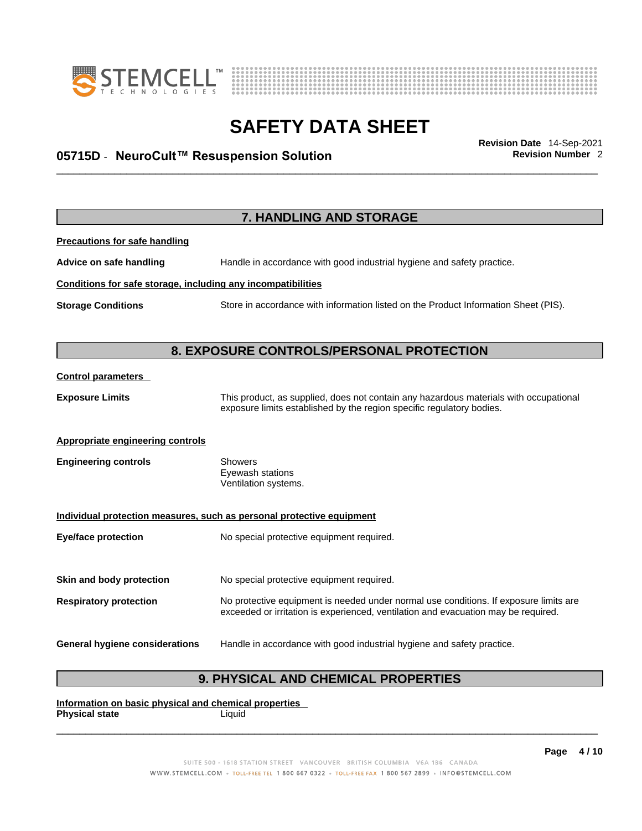



# \_\_\_\_\_\_\_\_\_\_\_\_\_\_\_\_\_\_\_\_\_\_\_\_\_\_\_\_\_\_\_\_\_\_\_\_\_\_\_\_\_\_\_\_\_\_\_\_\_\_\_\_\_\_\_\_\_\_\_\_\_\_\_\_\_\_\_\_\_\_\_\_\_\_\_\_\_\_\_\_\_\_\_\_\_\_\_\_\_\_\_\_\_ **Revision Date** 14-Sep-2021 **05715D** - **NeuroCult™ Resuspension Solution Revision Number** 2

|                                                              | 7. HANDLING AND STORAGE                                                                                                                                                     |  |  |  |
|--------------------------------------------------------------|-----------------------------------------------------------------------------------------------------------------------------------------------------------------------------|--|--|--|
| <b>Precautions for safe handling</b>                         |                                                                                                                                                                             |  |  |  |
| Advice on safe handling                                      | Handle in accordance with good industrial hygiene and safety practice.                                                                                                      |  |  |  |
| Conditions for safe storage, including any incompatibilities |                                                                                                                                                                             |  |  |  |
| <b>Storage Conditions</b>                                    | Store in accordance with information listed on the Product Information Sheet (PIS).                                                                                         |  |  |  |
|                                                              |                                                                                                                                                                             |  |  |  |
|                                                              | 8. EXPOSURE CONTROLS/PERSONAL PROTECTION                                                                                                                                    |  |  |  |
| <b>Control parameters</b>                                    |                                                                                                                                                                             |  |  |  |
| <b>Exposure Limits</b>                                       | This product, as supplied, does not contain any hazardous materials with occupational<br>exposure limits established by the region specific regulatory bodies.              |  |  |  |
| <b>Appropriate engineering controls</b>                      |                                                                                                                                                                             |  |  |  |
| <b>Engineering controls</b>                                  | <b>Showers</b><br>Eyewash stations<br>Ventilation systems.                                                                                                                  |  |  |  |
|                                                              | Individual protection measures, such as personal protective equipment                                                                                                       |  |  |  |
| <b>Eye/face protection</b>                                   | No special protective equipment required.                                                                                                                                   |  |  |  |
| Skin and body protection                                     | No special protective equipment required.                                                                                                                                   |  |  |  |
| <b>Respiratory protection</b>                                | No protective equipment is needed under normal use conditions. If exposure limits are<br>exceeded or irritation is experienced, ventilation and evacuation may be required. |  |  |  |
| <b>General hygiene considerations</b>                        | Handle in accordance with good industrial hygiene and safety practice.                                                                                                      |  |  |  |
|                                                              |                                                                                                                                                                             |  |  |  |

### **9. PHYSICAL AND CHEMICAL PROPERTIES**

**Information on basic physical and chemical properties Physical state** Liquid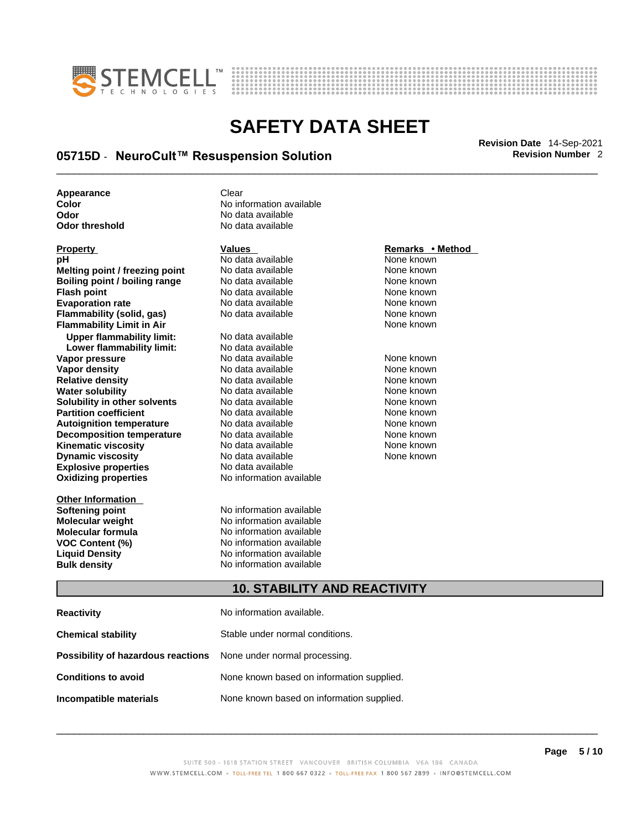



# \_\_\_\_\_\_\_\_\_\_\_\_\_\_\_\_\_\_\_\_\_\_\_\_\_\_\_\_\_\_\_\_\_\_\_\_\_\_\_\_\_\_\_\_\_\_\_\_\_\_\_\_\_\_\_\_\_\_\_\_\_\_\_\_\_\_\_\_\_\_\_\_\_\_\_\_\_\_\_\_\_\_\_\_\_\_\_\_\_\_\_\_\_ **Revision Date** 14-Sep-2021 **05715D** - **NeuroCult™ Resuspension Solution Revision Number** 2

**Appearance Clear** 

**Explosive properties**<br> **Oxidizing properties**<br> **Oxidizing properties**<br> **No information available Oxidizing properties pH** No data available None known **Melting point / freezing point** No data available None known<br> **Rojling point / bojling range** No data available None Known None known **Boiling point / boiling range** No data available **None known**<br>
No data available **None known**<br>
No data available **None known Evaporation rate Cone Cone Access Mone Cone Cone Cone Access Provident Cone Cone Access Provident Cone known<br>
<b>Flammability (solid. gas)** No data available Cone Cone Known **Flammability (solid, gas)** No data available None known **Flammability Limit in Air None known None known Upper flammability limit:** No data available **Lower flammability limit:** No data available **Vapor pressure** 1980 in the Modata available 1980 in the Known None known<br> **Vapor density** 1980 in the None Known None known None known **Vapor density** No data available None known **Relative density Water solubility** No data available None known **Solubility in other solvents** No data available None known **Partition coefficient**<br> **Autoignition temperature**<br>
No data available None None known<br>
None known **Autoignition temperature** Mo data available Mone known<br> **Decomposition temperature** No data available None known **Decomposition temperature** No data available<br> **Kinematic viscosity** No data available **Kinematic viscosity No data available None known**<br> **Discussible No data available None known**<br>
None known **Dynamic viscosity No data available None known** 

**Other Information** 

**Color Color Color Color Color Color Color Color Color Color Color Color Color Color Color Color Color Color Color Color Color Color Color Color Color Color Color Color Odor No data available**<br> **Odor threshold No data available** No data available

**No data available** 

**Softening point**<br> **Molecular weight**<br> **Molecular weight**<br> **Molecular weight**<br> **Molecular weight No information available Molecular formula** No information available **VOC Content (%)**<br> **Content (%)**<br>
No information available<br>
No information available **No information available Bulk density No information available** 

#### **Property CONSCRUTE ACCORDING METHOD Values <b>CONSCRUTE ACCORDING METHOD METHOD METHOD VALUES Property Remarks** • **Method**

### **10. STABILITY AND REACTIVITY**

| <b>Reactivity</b>                                                       | No information available.                 |
|-------------------------------------------------------------------------|-------------------------------------------|
| <b>Chemical stability</b>                                               | Stable under normal conditions.           |
| <b>Possibility of hazardous reactions</b> None under normal processing. |                                           |
| <b>Conditions to avoid</b>                                              | None known based on information supplied. |
| Incompatible materials                                                  | None known based on information supplied. |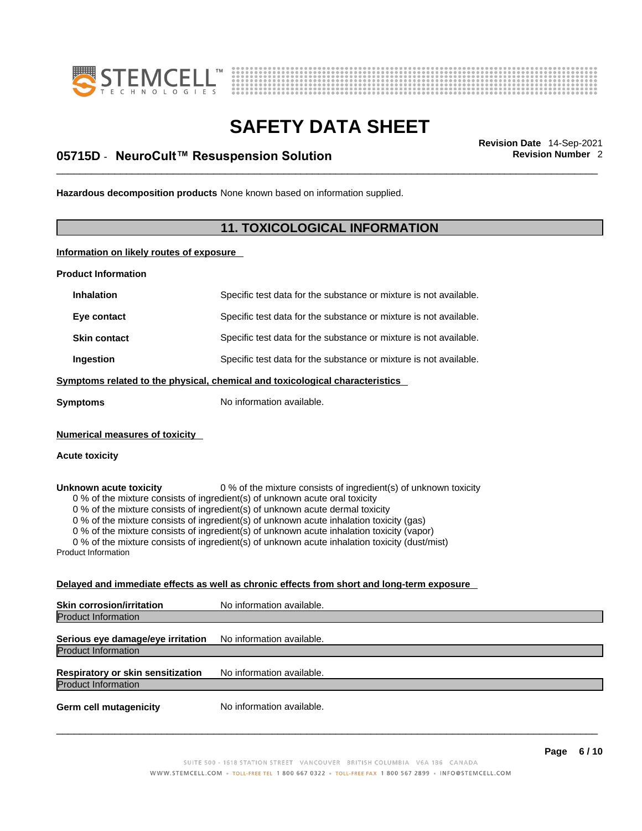



# \_\_\_\_\_\_\_\_\_\_\_\_\_\_\_\_\_\_\_\_\_\_\_\_\_\_\_\_\_\_\_\_\_\_\_\_\_\_\_\_\_\_\_\_\_\_\_\_\_\_\_\_\_\_\_\_\_\_\_\_\_\_\_\_\_\_\_\_\_\_\_\_\_\_\_\_\_\_\_\_\_\_\_\_\_\_\_\_\_\_\_\_\_ **Revision Date** 14-Sep-2021 **05715D** - **NeuroCult™ Resuspension Solution Revision Number** 2

**Hazardous decomposition products** None known based on information supplied.

### **11. TOXICOLOGICAL INFORMATION**

**Information on likely routes of exposure**

**Product Information**

| <b>Inhalation</b>                                    | Specific test data for the substance or mixture is not available.                                                                                                                                                                                                                                                                                                                                                                                                                                                         |
|------------------------------------------------------|---------------------------------------------------------------------------------------------------------------------------------------------------------------------------------------------------------------------------------------------------------------------------------------------------------------------------------------------------------------------------------------------------------------------------------------------------------------------------------------------------------------------------|
| Eye contact                                          | Specific test data for the substance or mixture is not available.                                                                                                                                                                                                                                                                                                                                                                                                                                                         |
| <b>Skin contact</b>                                  | Specific test data for the substance or mixture is not available.                                                                                                                                                                                                                                                                                                                                                                                                                                                         |
| Ingestion                                            | Specific test data for the substance or mixture is not available.                                                                                                                                                                                                                                                                                                                                                                                                                                                         |
|                                                      | Symptoms related to the physical, chemical and toxicological characteristics                                                                                                                                                                                                                                                                                                                                                                                                                                              |
| <b>Symptoms</b>                                      | No information available.                                                                                                                                                                                                                                                                                                                                                                                                                                                                                                 |
| <b>Numerical measures of toxicity</b>                |                                                                                                                                                                                                                                                                                                                                                                                                                                                                                                                           |
| <b>Acute toxicity</b>                                |                                                                                                                                                                                                                                                                                                                                                                                                                                                                                                                           |
| Unknown acute toxicity<br><b>Product Information</b> | 0 % of the mixture consists of ingredient(s) of unknown toxicity<br>0 % of the mixture consists of ingredient(s) of unknown acute oral toxicity<br>0 % of the mixture consists of ingredient(s) of unknown acute dermal toxicity<br>0 % of the mixture consists of ingredient(s) of unknown acute inhalation toxicity (gas)<br>0 % of the mixture consists of ingredient(s) of unknown acute inhalation toxicity (vapor)<br>0 % of the mixture consists of ingredient(s) of unknown acute inhalation toxicity (dust/mist) |
|                                                      | Delayed and immediate effects as well as chronic effects from short and long-term exposure                                                                                                                                                                                                                                                                                                                                                                                                                                |
| <b>Skin corrosion/irritation</b>                     | No information available.                                                                                                                                                                                                                                                                                                                                                                                                                                                                                                 |
| <b>Product Information</b>                           |                                                                                                                                                                                                                                                                                                                                                                                                                                                                                                                           |
| Serious eye damage/eye irritation                    | No information available.                                                                                                                                                                                                                                                                                                                                                                                                                                                                                                 |
| <b>Product Information</b>                           |                                                                                                                                                                                                                                                                                                                                                                                                                                                                                                                           |

**Respiratory or skin sensitization** No information available. Product Information

**Germ cell mutagenicity** No information available.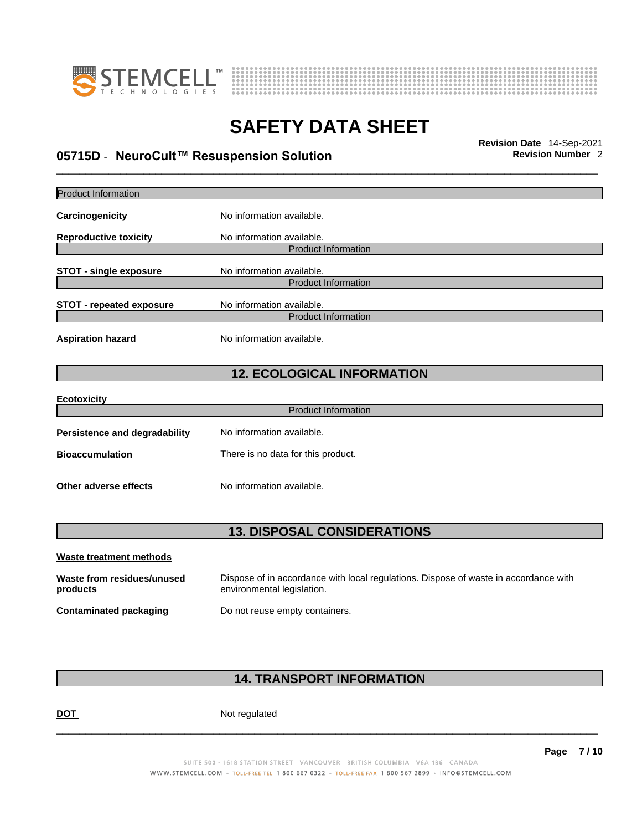



# \_\_\_\_\_\_\_\_\_\_\_\_\_\_\_\_\_\_\_\_\_\_\_\_\_\_\_\_\_\_\_\_\_\_\_\_\_\_\_\_\_\_\_\_\_\_\_\_\_\_\_\_\_\_\_\_\_\_\_\_\_\_\_\_\_\_\_\_\_\_\_\_\_\_\_\_\_\_\_\_\_\_\_\_\_\_\_\_\_\_\_\_\_ **Revision Date** 14-Sep-2021 **05715D** - **NeuroCult™ Resuspension Solution Revision Number** 2

| <b>Product Information</b>             |                                                                                                                    |  |  |
|----------------------------------------|--------------------------------------------------------------------------------------------------------------------|--|--|
| Carcinogenicity                        | No information available.                                                                                          |  |  |
| <b>Reproductive toxicity</b>           | No information available.                                                                                          |  |  |
|                                        | <b>Product Information</b>                                                                                         |  |  |
| <b>STOT - single exposure</b>          | No information available.<br><b>Product Information</b>                                                            |  |  |
| <b>STOT - repeated exposure</b>        | No information available.                                                                                          |  |  |
|                                        | <b>Product Information</b>                                                                                         |  |  |
| <b>Aspiration hazard</b>               | No information available.                                                                                          |  |  |
| <b>12. ECOLOGICAL INFORMATION</b>      |                                                                                                                    |  |  |
| <b>Ecotoxicity</b>                     |                                                                                                                    |  |  |
|                                        | <b>Product Information</b>                                                                                         |  |  |
| <b>Persistence and degradability</b>   | No information available.                                                                                          |  |  |
| <b>Bioaccumulation</b>                 | There is no data for this product.                                                                                 |  |  |
| Other adverse effects                  | No information available.                                                                                          |  |  |
| <b>13. DISPOSAL CONSIDERATIONS</b>     |                                                                                                                    |  |  |
|                                        |                                                                                                                    |  |  |
| <b>Waste treatment methods</b>         |                                                                                                                    |  |  |
| Waste from residues/unused<br>products | Dispose of in accordance with local regulations. Dispose of waste in accordance with<br>environmental legislation. |  |  |
| <b>Contaminated packaging</b>          | Do not reuse empty containers.                                                                                     |  |  |

### **14. TRANSPORT INFORMATION**

DOT Not regulated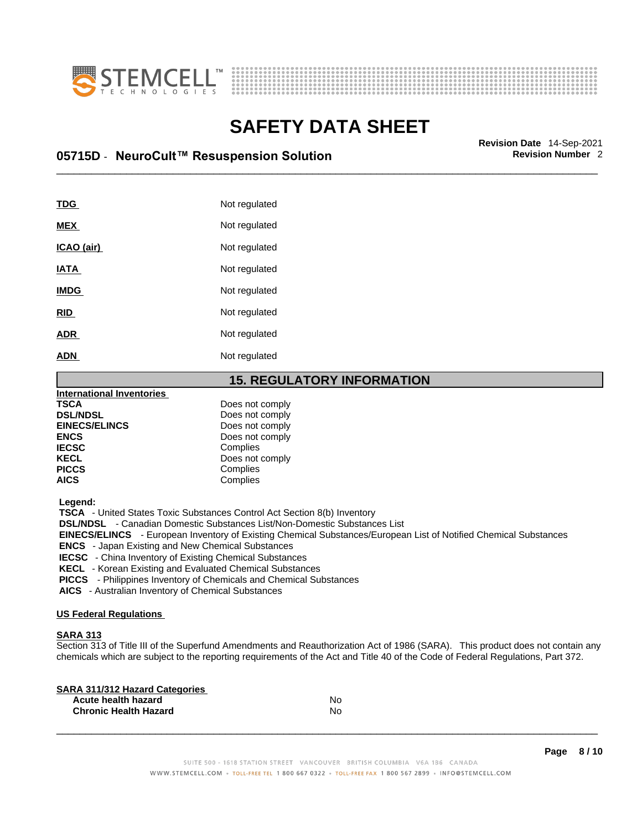



# \_\_\_\_\_\_\_\_\_\_\_\_\_\_\_\_\_\_\_\_\_\_\_\_\_\_\_\_\_\_\_\_\_\_\_\_\_\_\_\_\_\_\_\_\_\_\_\_\_\_\_\_\_\_\_\_\_\_\_\_\_\_\_\_\_\_\_\_\_\_\_\_\_\_\_\_\_\_\_\_\_\_\_\_\_\_\_\_\_\_\_\_\_ **Revision Date** 14-Sep-2021 **05715D** - **NeuroCult™ Resuspension Solution Revision Number** 2

| <b>TDG</b>  | Not regulated |
|-------------|---------------|
| <b>MEX</b>  | Not regulated |
| ICAO (air)  | Not regulated |
| <b>IATA</b> | Not regulated |
| <b>IMDG</b> | Not regulated |
| <b>RID</b>  | Not regulated |
| <b>ADR</b>  | Not regulated |
| <b>ADN</b>  | Not regulated |

#### **15. REGULATORY INFORMATION**

| <b>International Inventories</b> |                 |
|----------------------------------|-----------------|
| <b>TSCA</b>                      | Does not comply |
| <b>DSL/NDSL</b>                  | Does not comply |
| <b>EINECS/ELINCS</b>             | Does not comply |
| <b>ENCS</b>                      | Does not comply |
| <b>IECSC</b>                     | Complies        |
| <b>KECL</b>                      | Does not comply |
| <b>PICCS</b>                     | Complies        |
| <b>AICS</b>                      | Complies        |
|                                  |                 |

 **Legend:** 

 **TSCA** - United States Toxic Substances Control Act Section 8(b) Inventory

 **DSL/NDSL** - Canadian Domestic Substances List/Non-Domestic Substances List

 **EINECS/ELINCS** - European Inventory of Existing Chemical Substances/European List of Notified Chemical Substances

 **ENCS** - Japan Existing and New Chemical Substances

 **IECSC** - China Inventory of Existing Chemical Substances

 **KECL** - Korean Existing and Evaluated Chemical Substances

 **PICCS** - Philippines Inventory of Chemicals and Chemical Substances

 **AICS** - Australian Inventory of Chemical Substances

#### **US Federal Regulations**

#### **SARA 313**

Section 313 of Title III of the Superfund Amendments and Reauthorization Act of 1986 (SARA). This product does not contain any chemicals which are subject to the reporting requirements of the Act and Title 40 of the Code of Federal Regulations, Part 372.

| No |  |
|----|--|
| No |  |
|    |  |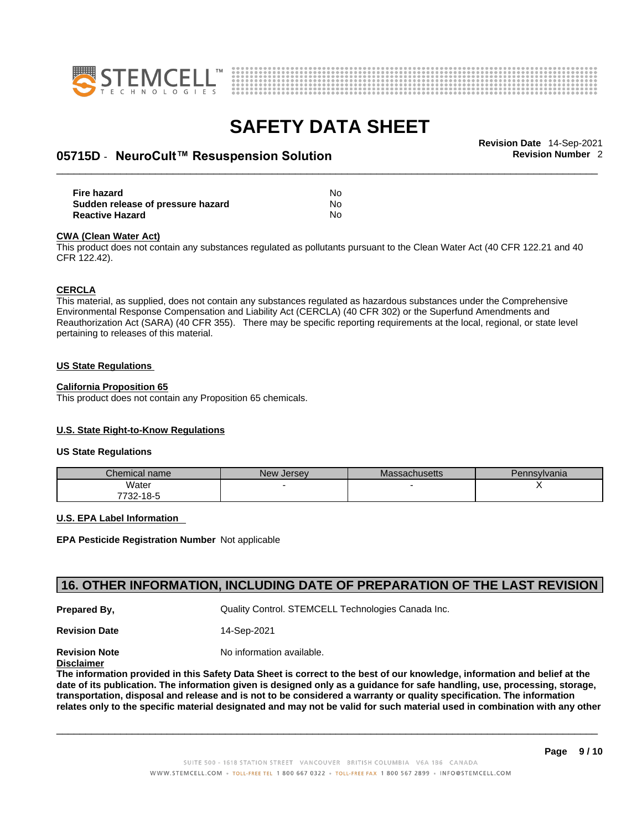



# \_\_\_\_\_\_\_\_\_\_\_\_\_\_\_\_\_\_\_\_\_\_\_\_\_\_\_\_\_\_\_\_\_\_\_\_\_\_\_\_\_\_\_\_\_\_\_\_\_\_\_\_\_\_\_\_\_\_\_\_\_\_\_\_\_\_\_\_\_\_\_\_\_\_\_\_\_\_\_\_\_\_\_\_\_\_\_\_\_\_\_\_\_ **Revision Date** 14-Sep-2021 **05715D** - **NeuroCult™ Resuspension Solution Revision Number** 2

**Fire hazard** No **Sudden release of pressure hazard Reactive Hazard** No

#### **CWA** (Clean Water Act)

This product does not contain any substances regulated as pollutants pursuant to the Clean Water Act (40 CFR 122.21 and 40 CFR 122.42).

#### **CERCLA**

This material, as supplied, does not contain any substances regulated as hazardous substances under the Comprehensive Environmental Response Compensation and Liability Act (CERCLA) (40 CFR 302) or the Superfund Amendments and Reauthorization Act (SARA) (40 CFR 355). There may be specific reporting requirements at the local, regional, or state level pertaining to releases of this material.

#### **US State Regulations**

#### **California Proposition 65**

This product does not contain any Proposition 65 chemicals.

#### **U.S. State Right-to-Know Regulations**

#### **US State Regulations**

| Chemical name | <b>New Jersey</b> | <b>Massachusetts</b> | Pennsylvania |
|---------------|-------------------|----------------------|--------------|
| Water         |                   |                      |              |
| 7732-18-5     |                   |                      |              |

#### **U.S. EPA Label Information**

**EPA Pesticide Registration Number** Not applicable

### **16. OTHER INFORMATION, INCLUDING DATE OF PREPARATION OF THE LAST REVISION**

**Prepared By, State Control. STEMCELL Technologies Canada Inc.** Cuality Control. STEMCELL Technologies Canada Inc.

**Revision Date** 14-Sep-2021

**Revision Note** Noinformation available.

#### **Disclaimer**

The information provided in this Safety Data Sheet is correct to the best of our knowledge, information and belief at the date of its publication. The information given is designed only as a guidance for safe handling, use, processing, storage, transportation, disposal and release and is not to be considered a warranty or quality specification. The information relates only to the specific material designated and may not be valid for such material used in combination with any other